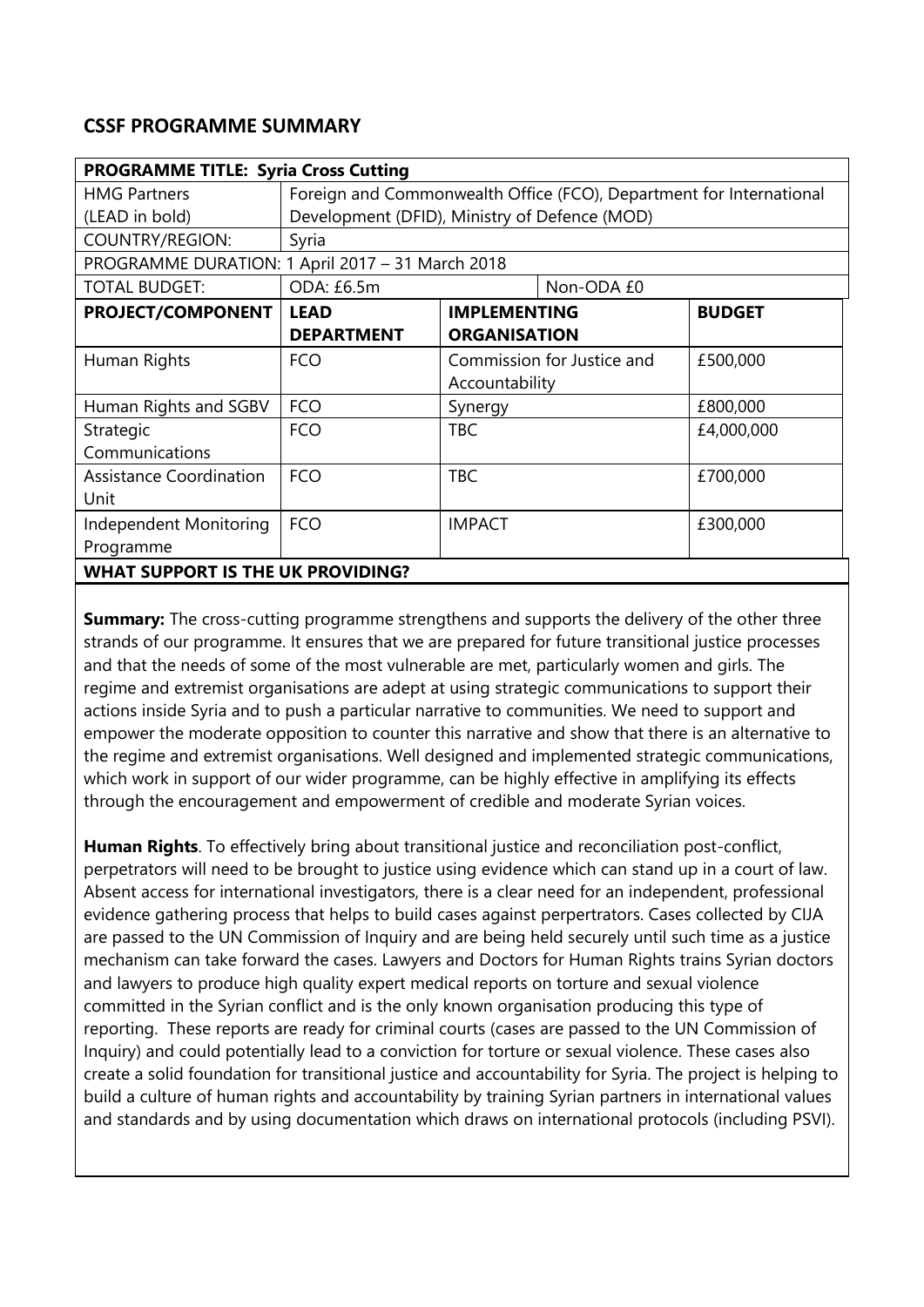## **CSSF PROGRAMME SUMMARY**

| <b>PROGRAMME TITLE: Syria Cross Cutting</b>      |                                                                     |                            |            |               |
|--------------------------------------------------|---------------------------------------------------------------------|----------------------------|------------|---------------|
| <b>HMG Partners</b>                              | Foreign and Commonwealth Office (FCO), Department for International |                            |            |               |
| (LEAD in bold)                                   | Development (DFID), Ministry of Defence (MOD)                       |                            |            |               |
| COUNTRY/REGION:                                  | Syria                                                               |                            |            |               |
| PROGRAMME DURATION: 1 April 2017 - 31 March 2018 |                                                                     |                            |            |               |
| <b>TOTAL BUDGET:</b>                             | ODA: £6.5m                                                          |                            | Non-ODA £0 |               |
| PROJECT/COMPONENT                                | <b>LEAD</b>                                                         | <b>IMPLEMENTING</b>        |            | <b>BUDGET</b> |
|                                                  | <b>DEPARTMENT</b>                                                   | <b>ORGANISATION</b>        |            |               |
| Human Rights                                     | <b>FCO</b>                                                          | Commission for Justice and |            | £500,000      |
|                                                  |                                                                     | Accountability             |            |               |
| Human Rights and SGBV                            | <b>FCO</b>                                                          | Synergy                    |            | £800,000      |
| Strategic                                        | <b>FCO</b>                                                          | <b>TBC</b>                 |            | £4,000,000    |
| Communications                                   |                                                                     |                            |            |               |
| <b>Assistance Coordination</b>                   | <b>FCO</b>                                                          | <b>TBC</b>                 |            | £700,000      |
| Unit                                             |                                                                     |                            |            |               |
| Independent Monitoring                           | <b>FCO</b>                                                          | <b>IMPACT</b>              |            | £300,000      |
| Programme                                        |                                                                     |                            |            |               |
| <b>WHAT SUPPORT IS THE UK PROVIDING?</b>         |                                                                     |                            |            |               |

**Summary:** The cross-cutting programme strengthens and supports the delivery of the other three strands of our programme. It ensures that we are prepared for future transitional justice processes and that the needs of some of the most vulnerable are met, particularly women and girls. The regime and extremist organisations are adept at using strategic communications to support their actions inside Syria and to push a particular narrative to communities. We need to support and empower the moderate opposition to counter this narrative and show that there is an alternative to the regime and extremist organisations. Well designed and implemented strategic communications, which work in support of our wider programme, can be highly effective in amplifying its effects through the encouragement and empowerment of credible and moderate Syrian voices.

**Human Rights**. To effectively bring about transitional justice and reconciliation post-conflict, perpetrators will need to be brought to justice using evidence which can stand up in a court of law. Absent access for international investigators, there is a clear need for an independent, professional evidence gathering process that helps to build cases against perpertrators. Cases collected by CIJA are passed to the UN Commission of Inquiry and are being held securely until such time as a justice mechanism can take forward the cases. Lawyers and Doctors for Human Rights trains Syrian doctors and lawyers to produce high quality expert medical reports on torture and sexual violence committed in the Syrian conflict and is the only known organisation producing this type of reporting. These reports are ready for criminal courts (cases are passed to the UN Commission of Inquiry) and could potentially lead to a conviction for torture or sexual violence. These cases also create a solid foundation for transitional justice and accountability for Syria. The project is helping to build a culture of human rights and accountability by training Syrian partners in international values and standards and by using documentation which draws on international protocols (including PSVI).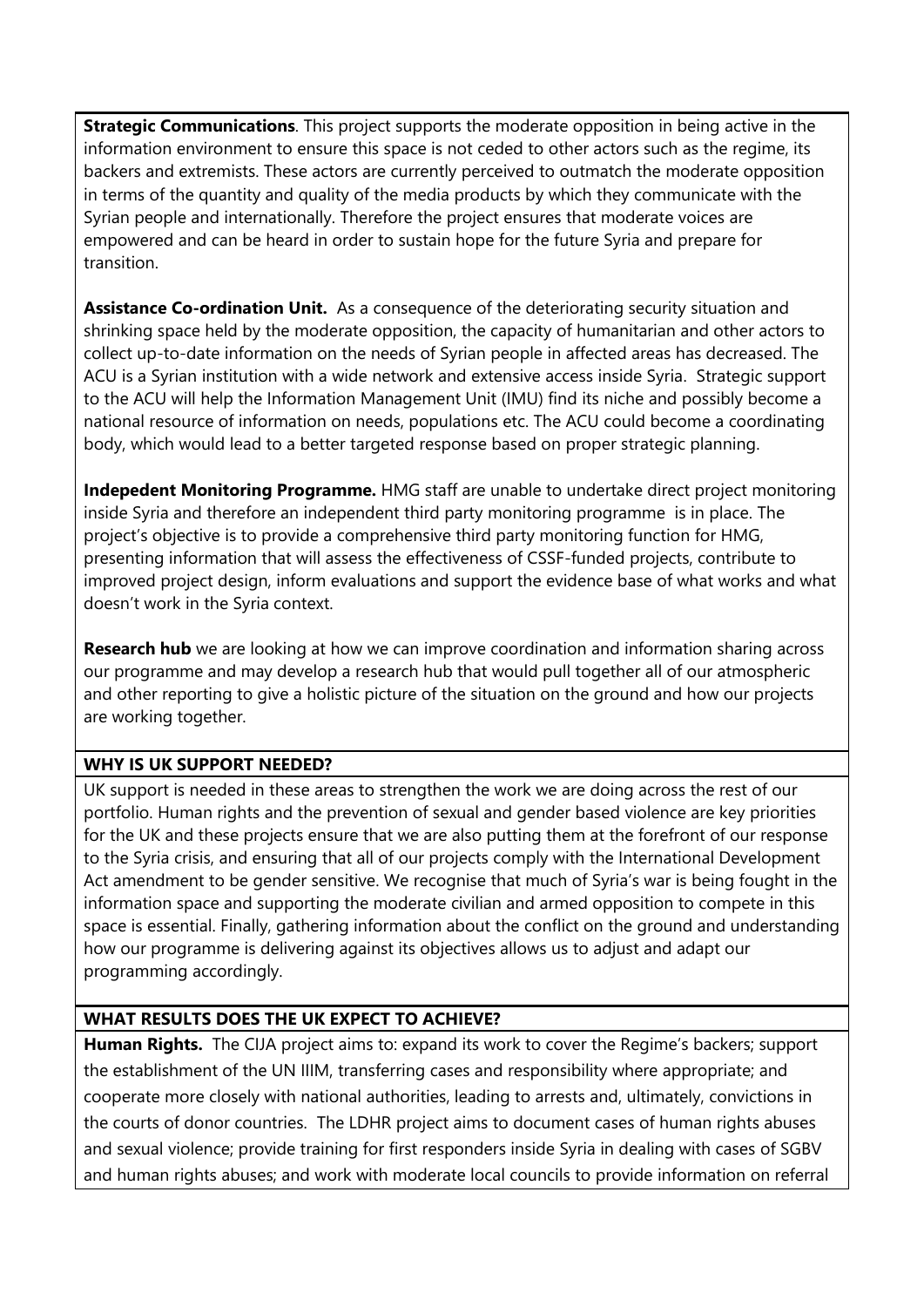**Strategic Communications**. This project supports the moderate opposition in being active in the information environment to ensure this space is not ceded to other actors such as the regime, its backers and extremists. These actors are currently perceived to outmatch the moderate opposition in terms of the quantity and quality of the media products by which they communicate with the Syrian people and internationally. Therefore the project ensures that moderate voices are empowered and can be heard in order to sustain hope for the future Syria and prepare for transition.

**Assistance Co-ordination Unit.** As a consequence of the deteriorating security situation and shrinking space held by the moderate opposition, the capacity of humanitarian and other actors to collect up-to-date information on the needs of Syrian people in affected areas has decreased. The ACU is a Syrian institution with a wide network and extensive access inside Syria. Strategic support to the ACU will help the Information Management Unit (IMU) find its niche and possibly become a national resource of information on needs, populations etc. The ACU could become a coordinating body, which would lead to a better targeted response based on proper strategic planning.

**Indepedent Monitoring Programme.** HMG staff are unable to undertake direct project monitoring inside Syria and therefore an independent third party monitoring programme is in place. The project's objective is to provide a comprehensive third party monitoring function for HMG, presenting information that will assess the effectiveness of CSSF-funded projects, contribute to improved project design, inform evaluations and support the evidence base of what works and what doesn't work in the Syria context.

**Research hub** we are looking at how we can improve coordination and information sharing across our programme and may develop a research hub that would pull together all of our atmospheric and other reporting to give a holistic picture of the situation on the ground and how our projects are working together.

## **WHY IS UK SUPPORT NEEDED?**

UK support is needed in these areas to strengthen the work we are doing across the rest of our portfolio. Human rights and the prevention of sexual and gender based violence are key priorities for the UK and these projects ensure that we are also putting them at the forefront of our response to the Syria crisis, and ensuring that all of our projects comply with the International Development Act amendment to be gender sensitive. We recognise that much of Syria's war is being fought in the information space and supporting the moderate civilian and armed opposition to compete in this space is essential. Finally, gathering information about the conflict on the ground and understanding how our programme is delivering against its objectives allows us to adjust and adapt our programming accordingly.

## **WHAT RESULTS DOES THE UK EXPECT TO ACHIEVE?**

**Human Rights.** The CIJA project aims to: expand its work to cover the Regime's backers; support the establishment of the UN IIIM, transferring cases and responsibility where appropriate; and cooperate more closely with national authorities, leading to arrests and, ultimately, convictions in the courts of donor countries. The LDHR project aims to document cases of human rights abuses and sexual violence; provide training for first responders inside Syria in dealing with cases of SGBV and human rights abuses; and work with moderate local councils to provide information on referral